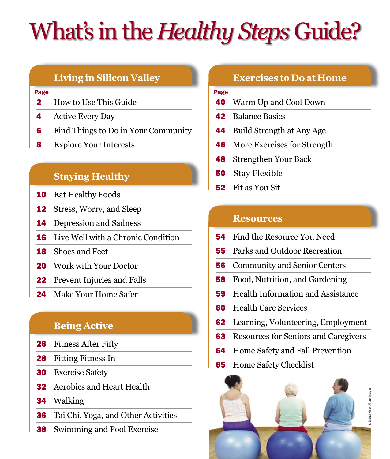# What's in the *Healthy Steps* Guide?

## **Living in Silicon Valley**

## Page **Page 2018**

- How to Use This Guide
- 4 Active Every Day
- Find Things to Do in Your Community
- 8 Explore Your Interests

## **Staying Healthy**

- Eat Healthy Foods
- Stress, Worry, and Sleep
- Depression and Sadness
- Live Well with a Chronic Condition
- Shoes and Feet
- 20 Work with Your Doctor
- 22 Prevent Injuries and Falls
- 24 Make Your Home Safer

## **Being Active**

- 26 Fitness After Fifty
- Fitting Fitness In
- Exercise Safety
- Aerobics and Heart Health
- Walking
- Tai Chi, Yoga, and Other Activities
- Swimming and Pool Exercise

## **Exercises to Do at Home**

- Warm Up and Cool Down
- Balance Basics
- Build Strength at Any Age
- More Exercises for Strength
- Strengthen Your Back
- Stay Flexible
- Fit as You Sit

## **Resources**

- Find the Resource You Need
- Parks and Outdoor Recreation
- Community and Senior Centers
- Food, Nutrition, and Gardening
- Health Information and Assistance
- Health Care Services
- Learning, Volunteering, Employment
- Resources for Seniors and Caregivers
- Home Safety and Fall Prevention
- Home Safety Checklist

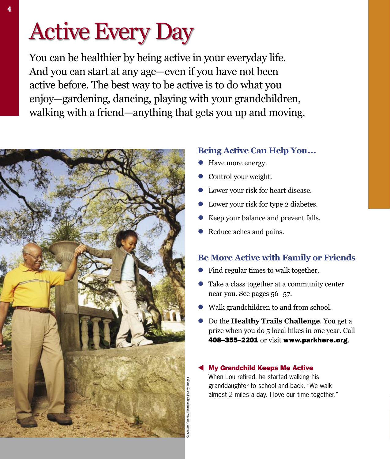# Active Every Day

You can be healthier by being active in your everyday life. And you can start at any age—even if you have not been active before. The best way to be active is to do what you enjoy—gardening, dancing, playing with your grandchildren, walking with a friend—anything that gets you up and moving.



## **Being Active Can Help You...**

- Have more energy.
- Control your weight.
- **I** Lower your risk for heart disease.
- **l** Lower your risk for type 2 diabetes.
- l Keep your balance and prevent falls.
- Reduce aches and pains.

## **Be More Active with Family or Friends**

- Find regular times to walk together.
- l Take a class together at a community center near you. See pages 56–57.
- Walk grandchildren to and from school.
- l Do the **Healthy Trails Challenge**. You get a prize when you do 5 local hikes in one year. Call 408–355–2201 or visit www.parkhere.org.

## **My Grandchild Keeps Me Active**

When Lou retired, he started walking his granddaughter to school and back. "We walk almost 2 miles a day. I love our time together."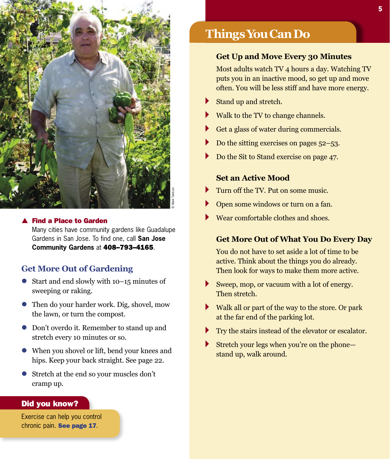

## **Find a Place to Garden**

Many cities have community gardens like Guadalupe Gardens in San Jose. To find one, call **San Jose Community Gardens** at 408–793–4165.

## **Get More Out of Gardening**

- $\bullet$  Start and end slowly with 10–15 minutes of sweeping or raking.
- l Then do your harder work. Dig, shovel, mow the lawn, or turn the compost.
- **Don't overdo it. Remember to stand up and** stretch every 10 minutes or so.
- When you shovel or lift, bend your knees and hips. Keep your back straight. See page 22.
- l Stretch at the end so your muscles don't cramp up.

## Did you know?

Exercise can help you control chronic pain. See page 17.

## **ThingsYouCanDo**

## **Get Up and Move Every 30 Minutes**

Most adults watch TV 4 hours a day. Watching TV puts you in an inactive mood, so get up and move often. You will be less stiff and have more energy.

- Stand up and stretch.
- Walk to the TV to change channels.
- Get a glass of water during commercials.
- Do the sitting exercises on pages 52–53.
- Do the Sit to Stand exercise on page 47.

## **Set an Active Mood**

- Turn off the TV. Put on some music.
- Open some windows or turn on a fan.
- Wear comfortable clothes and shoes.

## **Get More Out of What You Do Every Day**

You do not have to set aside a lot of time to be active. Think about the things you do already. Then look for ways to make them more active.

- ▶ Sweep, mop, or vacuum with a lot of energy. Then stretch.
- $\blacktriangleright$ Walk all or part of the way to the store. Or park at the far end of the parking lot.
- Try the stairs instead of the elevator or escalator.
- Stretch your legs when you're on the phone stand up, walk around.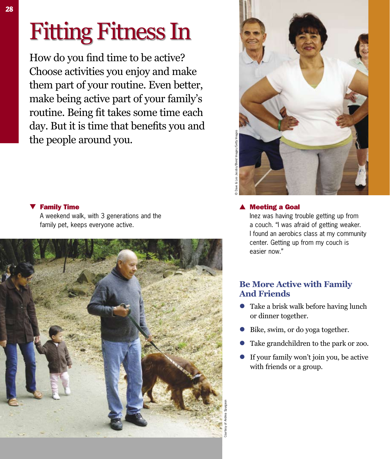How do you find time to be active? Choose activities you enjoy and make them part of your routine. Even better, make being active part of your family's routine. Being fit takes some time each day. But it is time that benefits you and the people around you.

# © Dave & Les Jacobs/Blend Images/Getty Images

## $\nabla$  Family Time

A weekend walk, with 3 generations and the family pet, keeps everyone active.



## **Meeting a Goal**

Inez was having trouble getting up from a couch. "I was afraid of getting weaker. I found an aerobics class at my community center. Getting up from my couch is easier now."

## **Be More Active with Family And Friends**

- $\bullet$  Take a brisk walk before having lunch or dinner together.
- Bike, swim, or do yoga together.
- l Take grandchildren to the park or zoo.
- If your family won't join you, be active with friends or a group.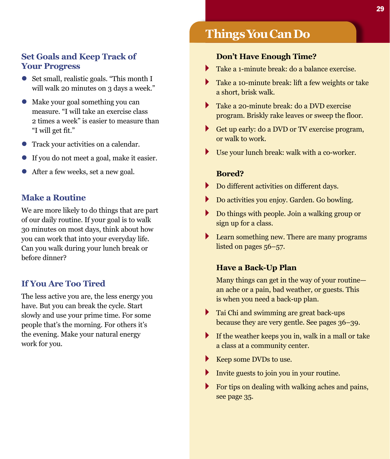## **Set Goals and Keep Track of Your Progress**

- l Set small, realistic goals. "This month I will walk 20 minutes on 3 days a week."
- l Make your goal something you can measure. "I will take an exercise class 2 times a week" is easier to measure than "I will get fit."
- **•** Track your activities on a calendar.
- If you do not meet a goal, make it easier.
- l After a few weeks, set a new goal.

## **Make a Routine**

We are more likely to do things that are part of our daily routine. If your goal is to walk 30 minutes on most days, think about how you can work that into your everyday life. Can you walk during your lunch break or before dinner?

## **If You Are Too Tired**

The less active you are, the less energy you have. But you can break the cycle. Start slowly and use your prime time. For some people that's the morning. For others it's the evening. Make your natural energy work for you.

## **ThingsYouCanDo**

## **Don't Have Enough Time?**

- Take a 1-minute break: do a balance exercise.
- Take a 10-minute break: lift a few weights or take Þ a short, brisk walk.
- $\blacktriangleright$ Take a 20-minute break: do a DVD exercise program. Briskly rake leaves or sweep the floor.
- Get up early: do a DVD or TV exercise program, or walk to work.
- $\blacktriangleright$ Use your lunch break: walk with a co-worker.

## **Bored?**

- ▶ Do different activities on different days.
- Þ Do activities you enjoy. Garden. Go bowling.
- Do things with people. Join a walking group or sign up for a class.
- $\blacktriangleright$ Learn something new. There are many programs listed on pages 56–57.

## **Have a Back-Up Plan**

Many things can get in the way of your routine an ache or a pain, bad weather, or guests. This is when you need a back-up plan.

- $\triangleright$  Tai Chi and swimming are great back-ups because they are very gentle. See pages 36–39.
- If the weather keeps you in, walk in a mall or take a class at a community center.
- Keep some DVDs to use.
- Invite guests to join you in your routine.
- For tips on dealing with walking aches and pains, see page 35.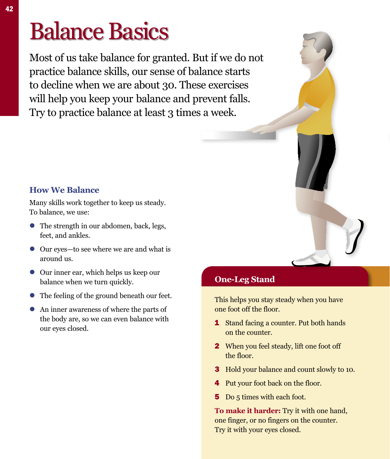# Balance Basics

Most of us take balance for granted. But if we do not practice balance skills, our sense of balance starts to decline when we are about 30. These exercises will help you keep your balance and prevent falls. Try to practice balance at least 3 times a week.

## **How We Balance**

Many skills work together to keep us steady. To balance, we use:

- The strength in our abdomen, back, legs, feet, and ankles.
- Our eyes—to see where we are and what is around us.
- **•** Our inner ear, which helps us keep our balance when we turn quickly.
- The feeling of the ground beneath our feet.
- An inner awareness of where the parts of the body are, so we can even balance with our eyes closed.

## **One-Leg Stand**

This helps you stay steady when you have one foot off the floor.

- 1 Stand facing a counter. Put both hands on the counter.
- 2 When you feel steady, lift one foot off the floor.
- 3 Hold your balance and count slowly to 10.
- 4 Put your foot back on the floor.
- 5 Do 5 times with each foot.

**To make it harder:** Try it with one hand, one finger, or no fingers on the counter. Try it with your eyes closed.